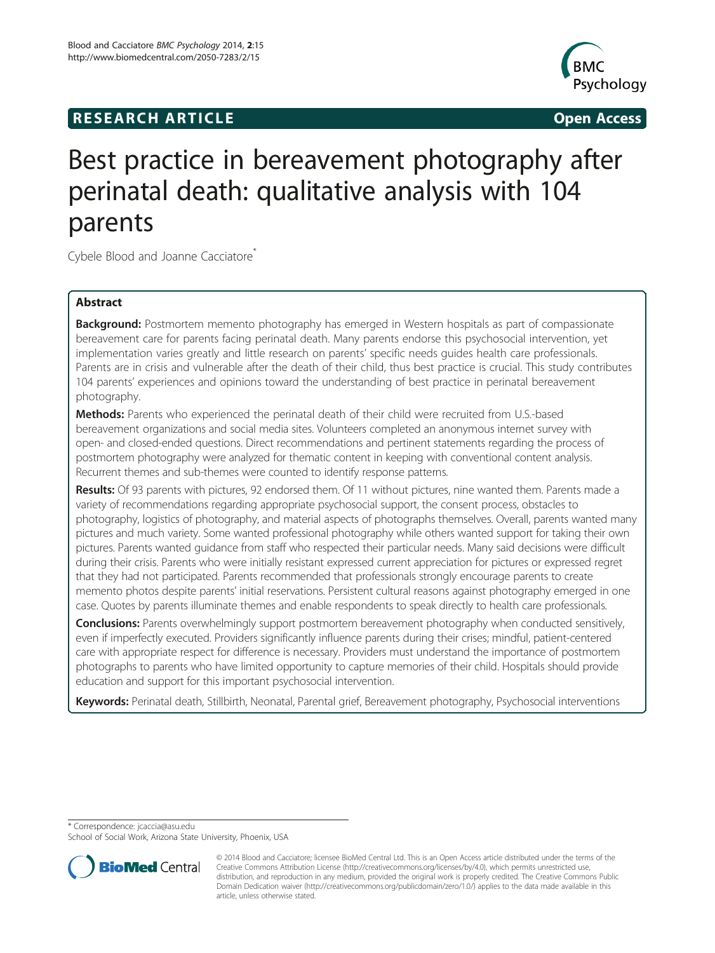## **RESEARCH ARTICLE CONSUMING A RESEARCH ARTICLE**



# Best practice in bereavement photography after perinatal death: qualitative analysis with 104 parents

Cybele Blood and Joanne Cacciatore<sup>\*</sup>

## Abstract

Background: Postmortem memento photography has emerged in Western hospitals as part of compassionate bereavement care for parents facing perinatal death. Many parents endorse this psychosocial intervention, yet implementation varies greatly and little research on parents' specific needs guides health care professionals. Parents are in crisis and vulnerable after the death of their child, thus best practice is crucial. This study contributes 104 parents' experiences and opinions toward the understanding of best practice in perinatal bereavement photography.

Methods: Parents who experienced the perinatal death of their child were recruited from U.S.-based bereavement organizations and social media sites. Volunteers completed an anonymous internet survey with open- and closed-ended questions. Direct recommendations and pertinent statements regarding the process of postmortem photography were analyzed for thematic content in keeping with conventional content analysis. Recurrent themes and sub-themes were counted to identify response patterns.

Results: Of 93 parents with pictures, 92 endorsed them. Of 11 without pictures, nine wanted them. Parents made a variety of recommendations regarding appropriate psychosocial support, the consent process, obstacles to photography, logistics of photography, and material aspects of photographs themselves. Overall, parents wanted many pictures and much variety. Some wanted professional photography while others wanted support for taking their own pictures. Parents wanted guidance from staff who respected their particular needs. Many said decisions were difficult during their crisis. Parents who were initially resistant expressed current appreciation for pictures or expressed regret that they had not participated. Parents recommended that professionals strongly encourage parents to create memento photos despite parents' initial reservations. Persistent cultural reasons against photography emerged in one case. Quotes by parents illuminate themes and enable respondents to speak directly to health care professionals.

**Conclusions:** Parents overwhelmingly support postmortem bereavement photography when conducted sensitively, even if imperfectly executed. Providers significantly influence parents during their crises; mindful, patient-centered care with appropriate respect for difference is necessary. Providers must understand the importance of postmortem photographs to parents who have limited opportunity to capture memories of their child. Hospitals should provide education and support for this important psychosocial intervention.

Keywords: Perinatal death, Stillbirth, Neonatal, Parental grief, Bereavement photography, Psychosocial interventions

\* Correspondence: [jcaccia@asu.edu](mailto:jcaccia@asu.edu)

School of Social Work, Arizona State University, Phoenix, USA



<sup>© 2014</sup> Blood and Cacciatore; licensee BioMed Central Ltd. This is an Open Access article distributed under the terms of the Creative Commons Attribution License (<http://creativecommons.org/licenses/by/4.0>), which permits unrestricted use, distribution, and reproduction in any medium, provided the original work is properly credited. The Creative Commons Public Domain Dedication waiver [\(http://creativecommons.org/publicdomain/zero/1.0/\)](http://creativecommons.org/publicdomain/zero/1.0/) applies to the data made available in this article, unless otherwise stated.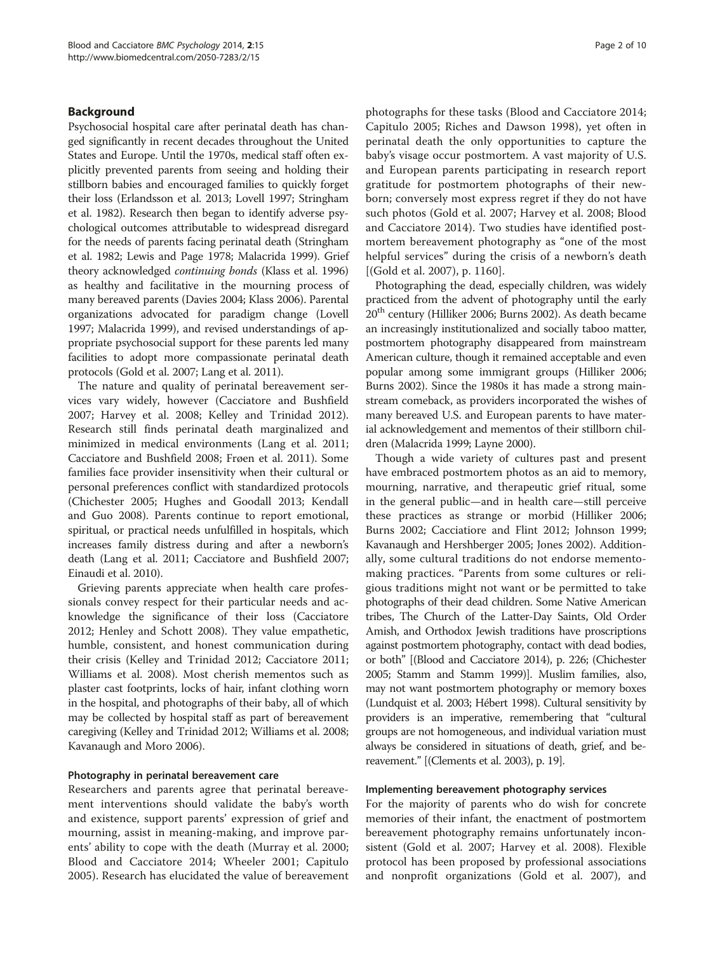## Background

Psychosocial hospital care after perinatal death has changed significantly in recent decades throughout the United States and Europe. Until the 1970s, medical staff often explicitly prevented parents from seeing and holding their stillborn babies and encouraged families to quickly forget their loss (Erlandsson et al. [2013;](#page-8-0) Lovell [1997](#page-9-0); Stringham et al. [1982](#page-9-0)). Research then began to identify adverse psychological outcomes attributable to widespread disregard for the needs of parents facing perinatal death (Stringham et al. [1982;](#page-9-0) Lewis and Page [1978](#page-9-0); Malacrida [1999](#page-9-0)). Grief theory acknowledged continuing bonds (Klass et al. [1996](#page-9-0)) as healthy and facilitative in the mourning process of many bereaved parents (Davies [2004;](#page-8-0) Klass [2006\)](#page-9-0). Parental organizations advocated for paradigm change (Lovell [1997;](#page-9-0) Malacrida [1999\)](#page-9-0), and revised understandings of appropriate psychosocial support for these parents led many facilities to adopt more compassionate perinatal death protocols (Gold et al. [2007;](#page-8-0) Lang et al. [2011\)](#page-9-0).

The nature and quality of perinatal bereavement services vary widely, however (Cacciatore and Bushfield [2007](#page-8-0); Harvey et al. [2008;](#page-8-0) Kelley and Trinidad [2012](#page-9-0)). Research still finds perinatal death marginalized and minimized in medical environments (Lang et al. [2011](#page-9-0); Cacciatore and Bushfield [2008;](#page-8-0) Frøen et al. [2011](#page-8-0)). Some families face provider insensitivity when their cultural or personal preferences conflict with standardized protocols (Chichester [2005;](#page-8-0) Hughes and Goodall [2013;](#page-9-0) Kendall and Guo [2008\)](#page-9-0). Parents continue to report emotional, spiritual, or practical needs unfulfilled in hospitals, which increases family distress during and after a newborn's death (Lang et al. [2011](#page-9-0); Cacciatore and Bushfield [2007](#page-8-0); Einaudi et al. [2010](#page-8-0)).

Grieving parents appreciate when health care professionals convey respect for their particular needs and acknowledge the significance of their loss (Cacciatore [2012](#page-8-0); Henley and Schott [2008](#page-8-0)). They value empathetic, humble, consistent, and honest communication during their crisis (Kelley and Trinidad [2012](#page-9-0); Cacciatore [2011](#page-8-0); Williams et al. [2008\)](#page-9-0). Most cherish mementos such as plaster cast footprints, locks of hair, infant clothing worn in the hospital, and photographs of their baby, all of which may be collected by hospital staff as part of bereavement caregiving (Kelley and Trinidad [2012](#page-9-0); Williams et al. [2008](#page-9-0); Kavanaugh and Moro [2006](#page-9-0)).

## Photography in perinatal bereavement care

Researchers and parents agree that perinatal bereavement interventions should validate the baby's worth and existence, support parents' expression of grief and mourning, assist in meaning-making, and improve parents' ability to cope with the death (Murray et al. [2000](#page-9-0); Blood and Cacciatore [2014;](#page-8-0) Wheeler [2001;](#page-9-0) Capitulo [2005\)](#page-8-0). Research has elucidated the value of bereavement photographs for these tasks (Blood and Cacciatore [2014](#page-8-0); Capitulo [2005;](#page-8-0) Riches and Dawson [1998\)](#page-9-0), yet often in perinatal death the only opportunities to capture the baby's visage occur postmortem. A vast majority of U.S. and European parents participating in research report gratitude for postmortem photographs of their newborn; conversely most express regret if they do not have such photos (Gold et al. [2007](#page-8-0); Harvey et al. [2008](#page-8-0); Blood and Cacciatore [2014](#page-8-0)). Two studies have identified postmortem bereavement photography as "one of the most helpful services" during the crisis of a newborn's death [(Gold et al. [2007\)](#page-8-0), p. 1160].

Photographing the dead, especially children, was widely practiced from the advent of photography until the early 20<sup>th</sup> century (Hilliker [2006](#page-8-0); Burns [2002\)](#page-8-0). As death became an increasingly institutionalized and socially taboo matter, postmortem photography disappeared from mainstream American culture, though it remained acceptable and even popular among some immigrant groups (Hilliker [2006](#page-8-0); Burns [2002](#page-8-0)). Since the 1980s it has made a strong mainstream comeback, as providers incorporated the wishes of many bereaved U.S. and European parents to have material acknowledgement and mementos of their stillborn children (Malacrida [1999;](#page-9-0) Layne [2000](#page-9-0)).

Though a wide variety of cultures past and present have embraced postmortem photos as an aid to memory, mourning, narrative, and therapeutic grief ritual, some in the general public—and in health care—still perceive these practices as strange or morbid (Hilliker [2006](#page-8-0); Burns [2002;](#page-8-0) Cacciatiore and Flint [2012](#page-8-0); Johnson [1999](#page-9-0); Kavanaugh and Hershberger [2005](#page-9-0); Jones [2002](#page-9-0)). Additionally, some cultural traditions do not endorse mementomaking practices. "Parents from some cultures or religious traditions might not want or be permitted to take photographs of their dead children. Some Native American tribes, The Church of the Latter-Day Saints, Old Order Amish, and Orthodox Jewish traditions have proscriptions against postmortem photography, contact with dead bodies, or both" [(Blood and Cacciatore [2014](#page-8-0)), p. 226; (Chichester [2005;](#page-8-0) Stamm and Stamm [1999\)](#page-9-0)]. Muslim families, also, may not want postmortem photography or memory boxes (Lundquist et al. [2003](#page-9-0); Hébert [1998\)](#page-8-0). Cultural sensitivity by providers is an imperative, remembering that "cultural groups are not homogeneous, and individual variation must always be considered in situations of death, grief, and bereavement." [(Clements et al. [2003](#page-8-0)), p. 19].

#### Implementing bereavement photography services

For the majority of parents who do wish for concrete memories of their infant, the enactment of postmortem bereavement photography remains unfortunately inconsistent (Gold et al. [2007;](#page-8-0) Harvey et al. [2008\)](#page-8-0). Flexible protocol has been proposed by professional associations and nonprofit organizations (Gold et al. [2007\)](#page-8-0), and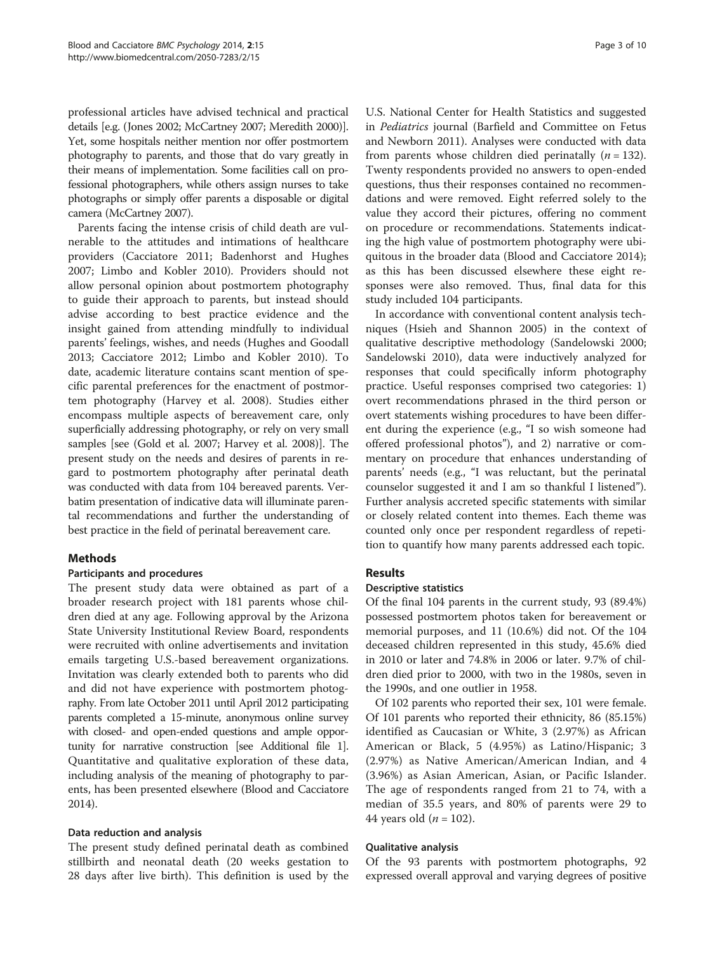professional articles have advised technical and practical details [e.g. (Jones [2002;](#page-9-0) McCartney [2007](#page-9-0); Meredith [2000](#page-9-0))]. Yet, some hospitals neither mention nor offer postmortem photography to parents, and those that do vary greatly in their means of implementation. Some facilities call on professional photographers, while others assign nurses to take photographs or simply offer parents a disposable or digital camera (McCartney [2007](#page-9-0)).

Parents facing the intense crisis of child death are vulnerable to the attitudes and intimations of healthcare providers (Cacciatore [2011;](#page-8-0) Badenhorst and Hughes [2007](#page-8-0); Limbo and Kobler [2010](#page-9-0)). Providers should not allow personal opinion about postmortem photography to guide their approach to parents, but instead should advise according to best practice evidence and the insight gained from attending mindfully to individual parents' feelings, wishes, and needs (Hughes and Goodall [2013](#page-9-0); Cacciatore [2012](#page-8-0); Limbo and Kobler [2010\)](#page-9-0). To date, academic literature contains scant mention of specific parental preferences for the enactment of postmortem photography (Harvey et al. [2008\)](#page-8-0). Studies either encompass multiple aspects of bereavement care, only superficially addressing photography, or rely on very small samples [see (Gold et al. [2007](#page-8-0); Harvey et al. [2008\)](#page-8-0)]. The present study on the needs and desires of parents in regard to postmortem photography after perinatal death was conducted with data from 104 bereaved parents. Verbatim presentation of indicative data will illuminate parental recommendations and further the understanding of best practice in the field of perinatal bereavement care.

## Methods

## Participants and procedures

The present study data were obtained as part of a broader research project with 181 parents whose children died at any age. Following approval by the Arizona State University Institutional Review Board, respondents were recruited with online advertisements and invitation emails targeting U.S.-based bereavement organizations. Invitation was clearly extended both to parents who did and did not have experience with postmortem photography. From late October 2011 until April 2012 participating parents completed a 15-minute, anonymous online survey with closed- and open-ended questions and ample opportunity for narrative construction [see Additional file [1\]](#page-8-0). Quantitative and qualitative exploration of these data, including analysis of the meaning of photography to parents, has been presented elsewhere (Blood and Cacciatore [2014\)](#page-8-0).

## Data reduction and analysis

The present study defined perinatal death as combined stillbirth and neonatal death (20 weeks gestation to 28 days after live birth). This definition is used by the

U.S. National Center for Health Statistics and suggested in Pediatrics journal (Barfield and Committee on Fetus and Newborn [2011\)](#page-8-0). Analyses were conducted with data from parents whose children died perinatally ( $n = 132$ ). Twenty respondents provided no answers to open-ended questions, thus their responses contained no recommendations and were removed. Eight referred solely to the value they accord their pictures, offering no comment on procedure or recommendations. Statements indicating the high value of postmortem photography were ubiquitous in the broader data (Blood and Cacciatore [2014](#page-8-0)); as this has been discussed elsewhere these eight responses were also removed. Thus, final data for this study included 104 participants.

In accordance with conventional content analysis techniques (Hsieh and Shannon [2005](#page-9-0)) in the context of qualitative descriptive methodology (Sandelowski [2000](#page-9-0); Sandelowski [2010\)](#page-9-0), data were inductively analyzed for responses that could specifically inform photography practice. Useful responses comprised two categories: 1) overt recommendations phrased in the third person or overt statements wishing procedures to have been different during the experience (e.g., "I so wish someone had offered professional photos"), and 2) narrative or commentary on procedure that enhances understanding of parents' needs (e.g., "I was reluctant, but the perinatal counselor suggested it and I am so thankful I listened"). Further analysis accreted specific statements with similar or closely related content into themes. Each theme was counted only once per respondent regardless of repetition to quantify how many parents addressed each topic.

## Results

#### Descriptive statistics

Of the final 104 parents in the current study, 93 (89.4%) possessed postmortem photos taken for bereavement or memorial purposes, and 11 (10.6%) did not. Of the 104 deceased children represented in this study, 45.6% died in 2010 or later and 74.8% in 2006 or later. 9.7% of children died prior to 2000, with two in the 1980s, seven in the 1990s, and one outlier in 1958.

Of 102 parents who reported their sex, 101 were female. Of 101 parents who reported their ethnicity, 86 (85.15%) identified as Caucasian or White, 3 (2.97%) as African American or Black, 5 (4.95%) as Latino/Hispanic; 3 (2.97%) as Native American/American Indian, and 4 (3.96%) as Asian American, Asian, or Pacific Islander. The age of respondents ranged from 21 to 74, with a median of 35.5 years, and 80% of parents were 29 to 44 years old  $(n = 102)$ .

#### Qualitative analysis

Of the 93 parents with postmortem photographs, 92 expressed overall approval and varying degrees of positive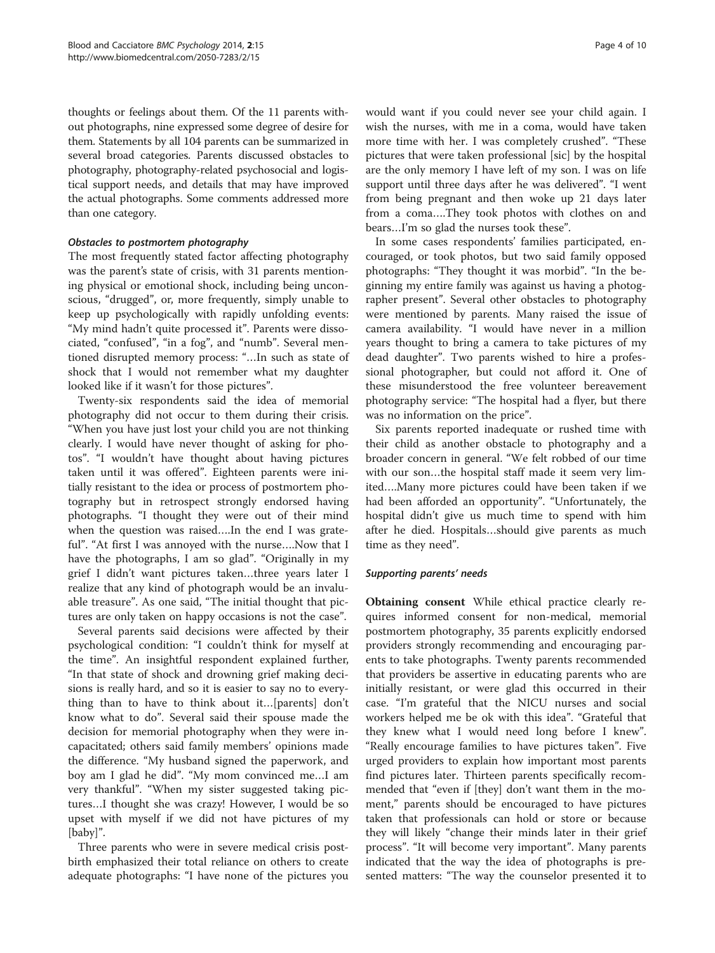thoughts or feelings about them. Of the 11 parents without photographs, nine expressed some degree of desire for them. Statements by all 104 parents can be summarized in several broad categories. Parents discussed obstacles to photography, photography-related psychosocial and logistical support needs, and details that may have improved the actual photographs. Some comments addressed more than one category.

## Obstacles to postmortem photography

The most frequently stated factor affecting photography was the parent's state of crisis, with 31 parents mentioning physical or emotional shock, including being unconscious, "drugged", or, more frequently, simply unable to keep up psychologically with rapidly unfolding events: "My mind hadn't quite processed it". Parents were dissociated, "confused", "in a fog", and "numb". Several mentioned disrupted memory process: "…In such as state of shock that I would not remember what my daughter looked like if it wasn't for those pictures".

Twenty-six respondents said the idea of memorial photography did not occur to them during their crisis. "When you have just lost your child you are not thinking clearly. I would have never thought of asking for photos". "I wouldn't have thought about having pictures taken until it was offered". Eighteen parents were initially resistant to the idea or process of postmortem photography but in retrospect strongly endorsed having photographs. "I thought they were out of their mind when the question was raised….In the end I was grateful". "At first I was annoyed with the nurse….Now that I have the photographs, I am so glad". "Originally in my grief I didn't want pictures taken…three years later I realize that any kind of photograph would be an invaluable treasure". As one said, "The initial thought that pictures are only taken on happy occasions is not the case".

Several parents said decisions were affected by their psychological condition: "I couldn't think for myself at the time". An insightful respondent explained further, "In that state of shock and drowning grief making decisions is really hard, and so it is easier to say no to everything than to have to think about it…[parents] don't know what to do". Several said their spouse made the decision for memorial photography when they were incapacitated; others said family members' opinions made the difference. "My husband signed the paperwork, and boy am I glad he did". "My mom convinced me…I am very thankful". "When my sister suggested taking pictures…I thought she was crazy! However, I would be so upset with myself if we did not have pictures of my [baby]".

Three parents who were in severe medical crisis postbirth emphasized their total reliance on others to create adequate photographs: "I have none of the pictures you would want if you could never see your child again. I wish the nurses, with me in a coma, would have taken more time with her. I was completely crushed". "These pictures that were taken professional [sic] by the hospital are the only memory I have left of my son. I was on life support until three days after he was delivered". "I went from being pregnant and then woke up 21 days later from a coma….They took photos with clothes on and bears…I'm so glad the nurses took these".

In some cases respondents' families participated, encouraged, or took photos, but two said family opposed photographs: "They thought it was morbid". "In the beginning my entire family was against us having a photographer present". Several other obstacles to photography were mentioned by parents. Many raised the issue of camera availability. "I would have never in a million years thought to bring a camera to take pictures of my dead daughter". Two parents wished to hire a professional photographer, but could not afford it. One of these misunderstood the free volunteer bereavement photography service: "The hospital had a flyer, but there was no information on the price".

Six parents reported inadequate or rushed time with their child as another obstacle to photography and a broader concern in general. "We felt robbed of our time with our son…the hospital staff made it seem very limited….Many more pictures could have been taken if we had been afforded an opportunity". "Unfortunately, the hospital didn't give us much time to spend with him after he died. Hospitals…should give parents as much time as they need".

#### Supporting parents' needs

Obtaining consent While ethical practice clearly requires informed consent for non-medical, memorial postmortem photography, 35 parents explicitly endorsed providers strongly recommending and encouraging parents to take photographs. Twenty parents recommended that providers be assertive in educating parents who are initially resistant, or were glad this occurred in their case. "I'm grateful that the NICU nurses and social workers helped me be ok with this idea". "Grateful that they knew what I would need long before I knew". "Really encourage families to have pictures taken". Five urged providers to explain how important most parents find pictures later. Thirteen parents specifically recommended that "even if [they] don't want them in the moment," parents should be encouraged to have pictures taken that professionals can hold or store or because they will likely "change their minds later in their grief process". "It will become very important". Many parents indicated that the way the idea of photographs is presented matters: "The way the counselor presented it to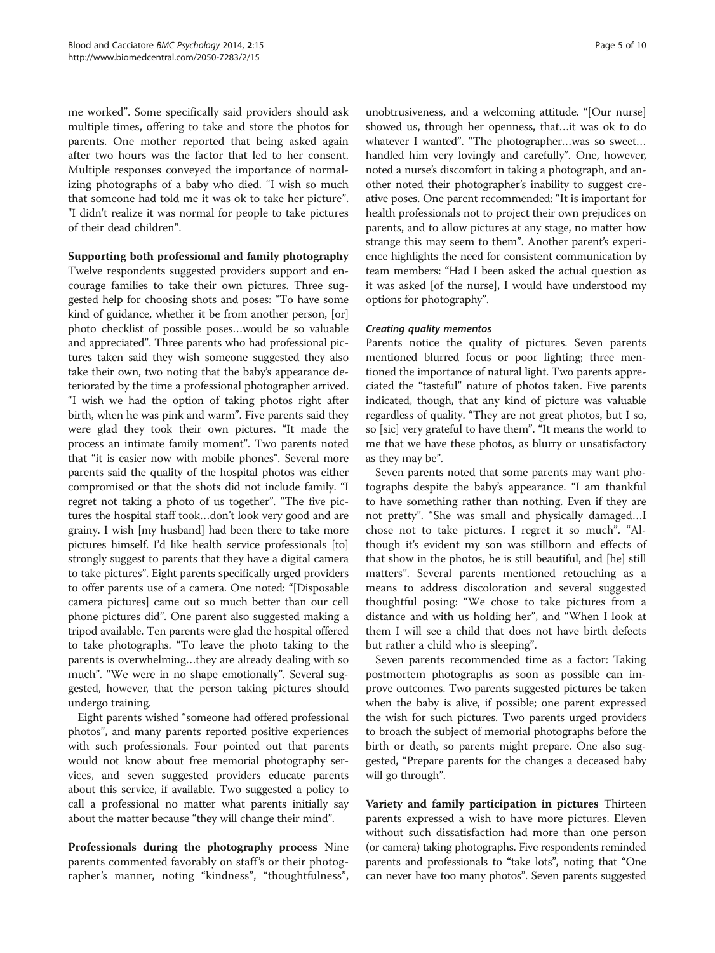me worked". Some specifically said providers should ask multiple times, offering to take and store the photos for parents. One mother reported that being asked again after two hours was the factor that led to her consent. Multiple responses conveyed the importance of normalizing photographs of a baby who died. "I wish so much that someone had told me it was ok to take her picture". "I didn't realize it was normal for people to take pictures of their dead children".

#### Supporting both professional and family photography

Twelve respondents suggested providers support and encourage families to take their own pictures. Three suggested help for choosing shots and poses: "To have some kind of guidance, whether it be from another person, [or] photo checklist of possible poses…would be so valuable and appreciated". Three parents who had professional pictures taken said they wish someone suggested they also take their own, two noting that the baby's appearance deteriorated by the time a professional photographer arrived. "I wish we had the option of taking photos right after birth, when he was pink and warm". Five parents said they were glad they took their own pictures. "It made the process an intimate family moment". Two parents noted that "it is easier now with mobile phones". Several more parents said the quality of the hospital photos was either compromised or that the shots did not include family. "I regret not taking a photo of us together". "The five pictures the hospital staff took…don't look very good and are grainy. I wish [my husband] had been there to take more pictures himself. I'd like health service professionals [to] strongly suggest to parents that they have a digital camera to take pictures". Eight parents specifically urged providers to offer parents use of a camera. One noted: "[Disposable camera pictures] came out so much better than our cell phone pictures did". One parent also suggested making a tripod available. Ten parents were glad the hospital offered to take photographs. "To leave the photo taking to the parents is overwhelming…they are already dealing with so much". "We were in no shape emotionally". Several suggested, however, that the person taking pictures should undergo training.

Eight parents wished "someone had offered professional photos", and many parents reported positive experiences with such professionals. Four pointed out that parents would not know about free memorial photography services, and seven suggested providers educate parents about this service, if available. Two suggested a policy to call a professional no matter what parents initially say about the matter because "they will change their mind".

Professionals during the photography process Nine parents commented favorably on staff's or their photographer's manner, noting "kindness", "thoughtfulness",

unobtrusiveness, and a welcoming attitude. "[Our nurse] showed us, through her openness, that…it was ok to do whatever I wanted". "The photographer…was so sweet… handled him very lovingly and carefully". One, however, noted a nurse's discomfort in taking a photograph, and another noted their photographer's inability to suggest creative poses. One parent recommended: "It is important for health professionals not to project their own prejudices on parents, and to allow pictures at any stage, no matter how strange this may seem to them". Another parent's experience highlights the need for consistent communication by team members: "Had I been asked the actual question as it was asked [of the nurse], I would have understood my options for photography".

#### Creating quality mementos

Parents notice the quality of pictures. Seven parents mentioned blurred focus or poor lighting; three mentioned the importance of natural light. Two parents appreciated the "tasteful" nature of photos taken. Five parents indicated, though, that any kind of picture was valuable regardless of quality. "They are not great photos, but I so, so [sic] very grateful to have them". "It means the world to me that we have these photos, as blurry or unsatisfactory as they may be".

Seven parents noted that some parents may want photographs despite the baby's appearance. "I am thankful to have something rather than nothing. Even if they are not pretty". "She was small and physically damaged…I chose not to take pictures. I regret it so much". "Although it's evident my son was stillborn and effects of that show in the photos, he is still beautiful, and [he] still matters". Several parents mentioned retouching as a means to address discoloration and several suggested thoughtful posing: "We chose to take pictures from a distance and with us holding her", and "When I look at them I will see a child that does not have birth defects but rather a child who is sleeping".

Seven parents recommended time as a factor: Taking postmortem photographs as soon as possible can improve outcomes. Two parents suggested pictures be taken when the baby is alive, if possible; one parent expressed the wish for such pictures. Two parents urged providers to broach the subject of memorial photographs before the birth or death, so parents might prepare. One also suggested, "Prepare parents for the changes a deceased baby will go through".

Variety and family participation in pictures Thirteen parents expressed a wish to have more pictures. Eleven without such dissatisfaction had more than one person (or camera) taking photographs. Five respondents reminded parents and professionals to "take lots", noting that "One can never have too many photos". Seven parents suggested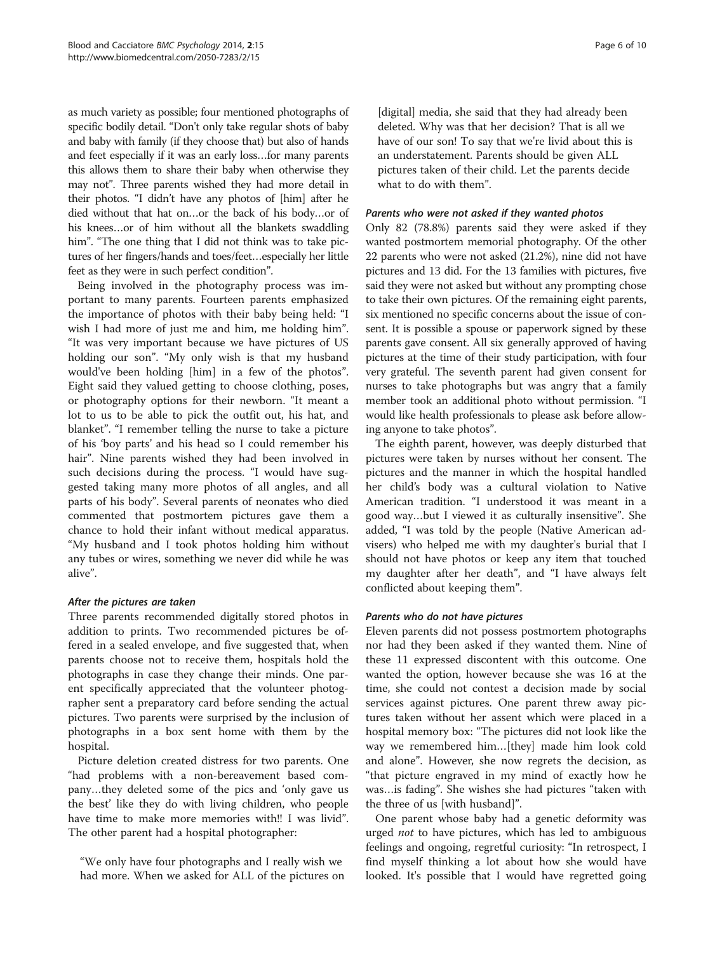as much variety as possible; four mentioned photographs of specific bodily detail. "Don't only take regular shots of baby and baby with family (if they choose that) but also of hands and feet especially if it was an early loss…for many parents this allows them to share their baby when otherwise they may not". Three parents wished they had more detail in their photos. "I didn't have any photos of [him] after he died without that hat on…or the back of his body…or of his knees…or of him without all the blankets swaddling him". "The one thing that I did not think was to take pictures of her fingers/hands and toes/feet…especially her little feet as they were in such perfect condition".

Being involved in the photography process was important to many parents. Fourteen parents emphasized the importance of photos with their baby being held: "I wish I had more of just me and him, me holding him". "It was very important because we have pictures of US holding our son". "My only wish is that my husband would've been holding [him] in a few of the photos". Eight said they valued getting to choose clothing, poses, or photography options for their newborn. "It meant a lot to us to be able to pick the outfit out, his hat, and blanket". "I remember telling the nurse to take a picture of his 'boy parts' and his head so I could remember his hair". Nine parents wished they had been involved in such decisions during the process. "I would have suggested taking many more photos of all angles, and all parts of his body". Several parents of neonates who died commented that postmortem pictures gave them a chance to hold their infant without medical apparatus. "My husband and I took photos holding him without any tubes or wires, something we never did while he was alive".

## After the pictures are taken

Three parents recommended digitally stored photos in addition to prints. Two recommended pictures be offered in a sealed envelope, and five suggested that, when parents choose not to receive them, hospitals hold the photographs in case they change their minds. One parent specifically appreciated that the volunteer photographer sent a preparatory card before sending the actual pictures. Two parents were surprised by the inclusion of photographs in a box sent home with them by the hospital.

Picture deletion created distress for two parents. One "had problems with a non-bereavement based company…they deleted some of the pics and 'only gave us the best' like they do with living children, who people have time to make more memories with!! I was livid". The other parent had a hospital photographer:

"We only have four photographs and I really wish we had more. When we asked for ALL of the pictures on

[digital] media, she said that they had already been deleted. Why was that her decision? That is all we have of our son! To say that we're livid about this is an understatement. Parents should be given ALL pictures taken of their child. Let the parents decide what to do with them".

#### Parents who were not asked if they wanted photos

Only 82 (78.8%) parents said they were asked if they wanted postmortem memorial photography. Of the other 22 parents who were not asked (21.2%), nine did not have pictures and 13 did. For the 13 families with pictures, five said they were not asked but without any prompting chose to take their own pictures. Of the remaining eight parents, six mentioned no specific concerns about the issue of consent. It is possible a spouse or paperwork signed by these parents gave consent. All six generally approved of having pictures at the time of their study participation, with four very grateful. The seventh parent had given consent for nurses to take photographs but was angry that a family member took an additional photo without permission. "I would like health professionals to please ask before allowing anyone to take photos".

The eighth parent, however, was deeply disturbed that pictures were taken by nurses without her consent. The pictures and the manner in which the hospital handled her child's body was a cultural violation to Native American tradition. "I understood it was meant in a good way…but I viewed it as culturally insensitive". She added, "I was told by the people (Native American advisers) who helped me with my daughter's burial that I should not have photos or keep any item that touched my daughter after her death", and "I have always felt conflicted about keeping them".

## Parents who do not have pictures

Eleven parents did not possess postmortem photographs nor had they been asked if they wanted them. Nine of these 11 expressed discontent with this outcome. One wanted the option, however because she was 16 at the time, she could not contest a decision made by social services against pictures. One parent threw away pictures taken without her assent which were placed in a hospital memory box: "The pictures did not look like the way we remembered him…[they] made him look cold and alone". However, she now regrets the decision, as "that picture engraved in my mind of exactly how he was…is fading". She wishes she had pictures "taken with the three of us [with husband]".

One parent whose baby had a genetic deformity was urged *not* to have pictures, which has led to ambiguous feelings and ongoing, regretful curiosity: "In retrospect, I find myself thinking a lot about how she would have looked. It's possible that I would have regretted going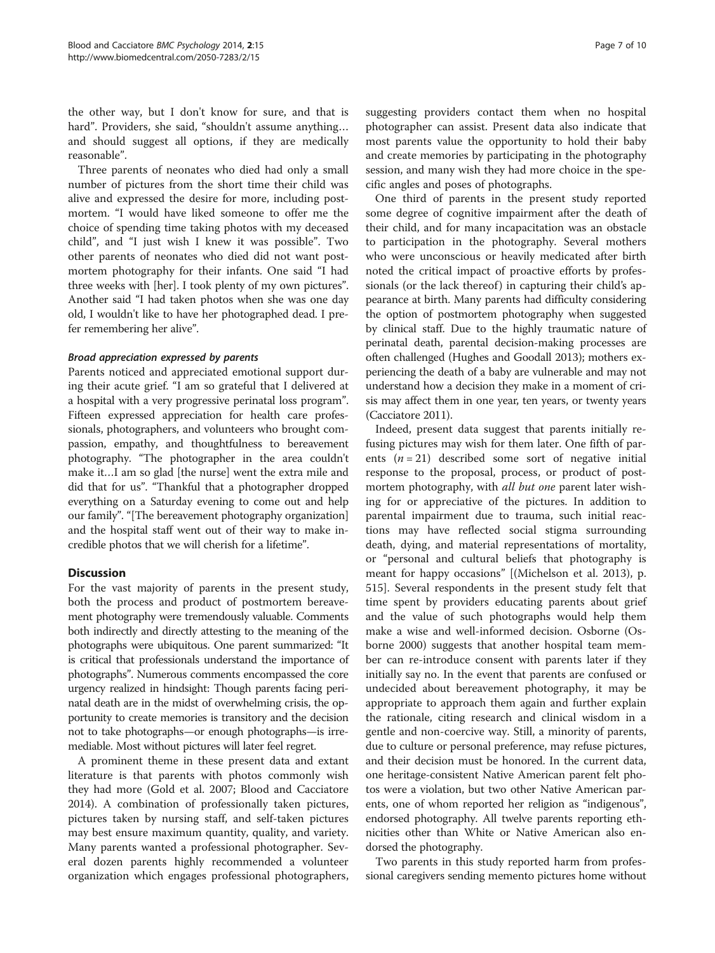the other way, but I don't know for sure, and that is hard". Providers, she said, "shouldn't assume anything… and should suggest all options, if they are medically reasonable".

Three parents of neonates who died had only a small number of pictures from the short time their child was alive and expressed the desire for more, including postmortem. "I would have liked someone to offer me the choice of spending time taking photos with my deceased child", and "I just wish I knew it was possible". Two other parents of neonates who died did not want postmortem photography for their infants. One said "I had three weeks with [her]. I took plenty of my own pictures". Another said "I had taken photos when she was one day old, I wouldn't like to have her photographed dead. I prefer remembering her alive".

#### Broad appreciation expressed by parents

Parents noticed and appreciated emotional support during their acute grief. "I am so grateful that I delivered at a hospital with a very progressive perinatal loss program". Fifteen expressed appreciation for health care professionals, photographers, and volunteers who brought compassion, empathy, and thoughtfulness to bereavement photography. "The photographer in the area couldn't make it…I am so glad [the nurse] went the extra mile and did that for us". "Thankful that a photographer dropped everything on a Saturday evening to come out and help our family". "[The bereavement photography organization] and the hospital staff went out of their way to make incredible photos that we will cherish for a lifetime".

## **Discussion**

For the vast majority of parents in the present study, both the process and product of postmortem bereavement photography were tremendously valuable. Comments both indirectly and directly attesting to the meaning of the photographs were ubiquitous. One parent summarized: "It is critical that professionals understand the importance of photographs". Numerous comments encompassed the core urgency realized in hindsight: Though parents facing perinatal death are in the midst of overwhelming crisis, the opportunity to create memories is transitory and the decision not to take photographs—or enough photographs—is irremediable. Most without pictures will later feel regret.

A prominent theme in these present data and extant literature is that parents with photos commonly wish they had more (Gold et al. [2007](#page-8-0); Blood and Cacciatore [2014\)](#page-8-0). A combination of professionally taken pictures, pictures taken by nursing staff, and self-taken pictures may best ensure maximum quantity, quality, and variety. Many parents wanted a professional photographer. Several dozen parents highly recommended a volunteer organization which engages professional photographers,

suggesting providers contact them when no hospital photographer can assist. Present data also indicate that most parents value the opportunity to hold their baby and create memories by participating in the photography session, and many wish they had more choice in the specific angles and poses of photographs.

One third of parents in the present study reported some degree of cognitive impairment after the death of their child, and for many incapacitation was an obstacle to participation in the photography. Several mothers who were unconscious or heavily medicated after birth noted the critical impact of proactive efforts by professionals (or the lack thereof) in capturing their child's appearance at birth. Many parents had difficulty considering the option of postmortem photography when suggested by clinical staff. Due to the highly traumatic nature of perinatal death, parental decision-making processes are often challenged (Hughes and Goodall [2013\)](#page-9-0); mothers experiencing the death of a baby are vulnerable and may not understand how a decision they make in a moment of crisis may affect them in one year, ten years, or twenty years (Cacciatore [2011\)](#page-8-0).

Indeed, present data suggest that parents initially refusing pictures may wish for them later. One fifth of parents  $(n = 21)$  described some sort of negative initial response to the proposal, process, or product of postmortem photography, with all but one parent later wishing for or appreciative of the pictures. In addition to parental impairment due to trauma, such initial reactions may have reflected social stigma surrounding death, dying, and material representations of mortality, or "personal and cultural beliefs that photography is meant for happy occasions" [(Michelson et al. [2013\)](#page-9-0), p. 515]. Several respondents in the present study felt that time spent by providers educating parents about grief and the value of such photographs would help them make a wise and well-informed decision. Osborne (Osborne [2000](#page-9-0)) suggests that another hospital team member can re-introduce consent with parents later if they initially say no. In the event that parents are confused or undecided about bereavement photography, it may be appropriate to approach them again and further explain the rationale, citing research and clinical wisdom in a gentle and non-coercive way. Still, a minority of parents, due to culture or personal preference, may refuse pictures, and their decision must be honored. In the current data, one heritage-consistent Native American parent felt photos were a violation, but two other Native American parents, one of whom reported her religion as "indigenous", endorsed photography. All twelve parents reporting ethnicities other than White or Native American also endorsed the photography.

Two parents in this study reported harm from professional caregivers sending memento pictures home without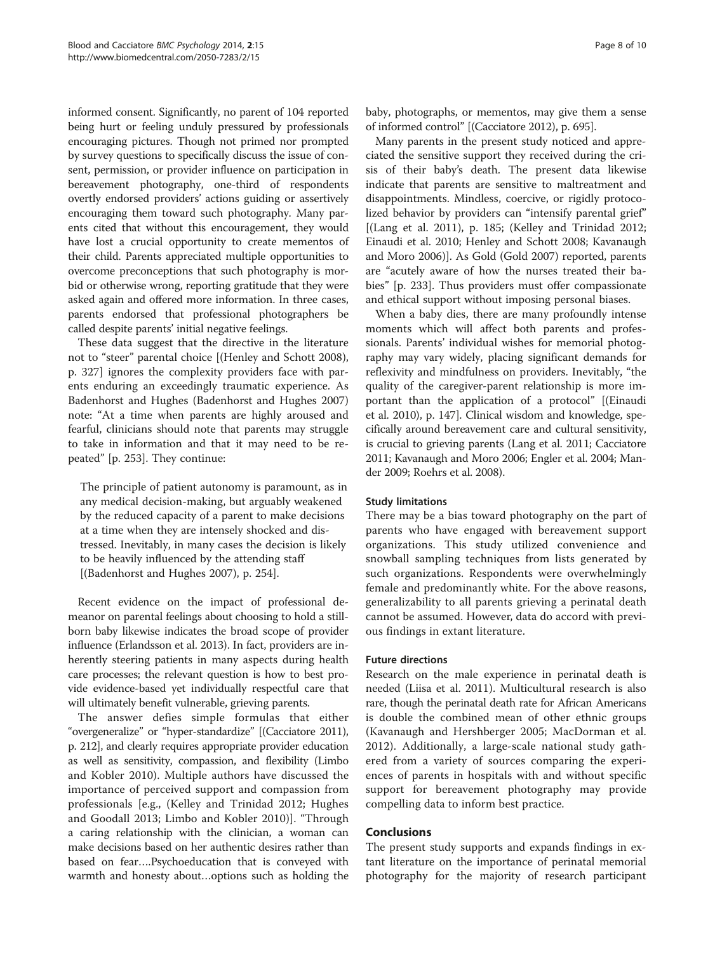informed consent. Significantly, no parent of 104 reported being hurt or feeling unduly pressured by professionals encouraging pictures. Though not primed nor prompted by survey questions to specifically discuss the issue of consent, permission, or provider influence on participation in bereavement photography, one-third of respondents overtly endorsed providers' actions guiding or assertively encouraging them toward such photography. Many parents cited that without this encouragement, they would have lost a crucial opportunity to create mementos of their child. Parents appreciated multiple opportunities to overcome preconceptions that such photography is morbid or otherwise wrong, reporting gratitude that they were asked again and offered more information. In three cases, parents endorsed that professional photographers be called despite parents' initial negative feelings.

These data suggest that the directive in the literature not to "steer" parental choice [(Henley and Schott [2008](#page-8-0)), p. 327] ignores the complexity providers face with parents enduring an exceedingly traumatic experience. As Badenhorst and Hughes (Badenhorst and Hughes [2007](#page-8-0)) note: "At a time when parents are highly aroused and fearful, clinicians should note that parents may struggle to take in information and that it may need to be repeated" [p. 253]. They continue:

The principle of patient autonomy is paramount, as in any medical decision-making, but arguably weakened by the reduced capacity of a parent to make decisions at a time when they are intensely shocked and distressed. Inevitably, in many cases the decision is likely to be heavily influenced by the attending staff [(Badenhorst and Hughes [2007](#page-8-0)), p. 254].

Recent evidence on the impact of professional demeanor on parental feelings about choosing to hold a stillborn baby likewise indicates the broad scope of provider influence (Erlandsson et al. [2013](#page-8-0)). In fact, providers are inherently steering patients in many aspects during health care processes; the relevant question is how to best provide evidence-based yet individually respectful care that will ultimately benefit vulnerable, grieving parents.

The answer defies simple formulas that either "overgeneralize" or "hyper-standardize" [(Cacciatore [2011](#page-8-0)), p. 212], and clearly requires appropriate provider education as well as sensitivity, compassion, and flexibility (Limbo and Kobler [2010\)](#page-9-0). Multiple authors have discussed the importance of perceived support and compassion from professionals [e.g., (Kelley and Trinidad [2012](#page-9-0); Hughes and Goodall [2013;](#page-9-0) Limbo and Kobler [2010](#page-9-0))]. "Through a caring relationship with the clinician, a woman can make decisions based on her authentic desires rather than based on fear….Psychoeducation that is conveyed with warmth and honesty about…options such as holding the

baby, photographs, or mementos, may give them a sense of informed control" [(Cacciatore [2012\)](#page-8-0), p. 695].

Many parents in the present study noticed and appreciated the sensitive support they received during the crisis of their baby's death. The present data likewise indicate that parents are sensitive to maltreatment and disappointments. Mindless, coercive, or rigidly protocolized behavior by providers can "intensify parental grief" [(Lang et al. [2011](#page-9-0)), p. 185; (Kelley and Trinidad [2012](#page-9-0); Einaudi et al. [2010](#page-8-0); Henley and Schott [2008](#page-8-0); Kavanaugh and Moro [2006](#page-9-0))]. As Gold (Gold [2007](#page-8-0)) reported, parents are "acutely aware of how the nurses treated their babies" [p. 233]. Thus providers must offer compassionate and ethical support without imposing personal biases.

When a baby dies, there are many profoundly intense moments which will affect both parents and professionals. Parents' individual wishes for memorial photography may vary widely, placing significant demands for reflexivity and mindfulness on providers. Inevitably, "the quality of the caregiver-parent relationship is more important than the application of a protocol" [(Einaudi et al. [2010\)](#page-8-0), p. 147]. Clinical wisdom and knowledge, specifically around bereavement care and cultural sensitivity, is crucial to grieving parents (Lang et al. [2011](#page-9-0); Cacciatore [2011](#page-8-0); Kavanaugh and Moro [2006;](#page-9-0) Engler et al. [2004;](#page-8-0) Mander [2009;](#page-9-0) Roehrs et al. [2008\)](#page-9-0).

#### Study limitations

There may be a bias toward photography on the part of parents who have engaged with bereavement support organizations. This study utilized convenience and snowball sampling techniques from lists generated by such organizations. Respondents were overwhelmingly female and predominantly white. For the above reasons, generalizability to all parents grieving a perinatal death cannot be assumed. However, data do accord with previous findings in extant literature.

#### Future directions

Research on the male experience in perinatal death is needed (Liisa et al. [2011\)](#page-9-0). Multicultural research is also rare, though the perinatal death rate for African Americans is double the combined mean of other ethnic groups (Kavanaugh and Hershberger [2005;](#page-9-0) MacDorman et al. [2012\)](#page-9-0). Additionally, a large-scale national study gathered from a variety of sources comparing the experiences of parents in hospitals with and without specific support for bereavement photography may provide compelling data to inform best practice.

## Conclusions

The present study supports and expands findings in extant literature on the importance of perinatal memorial photography for the majority of research participant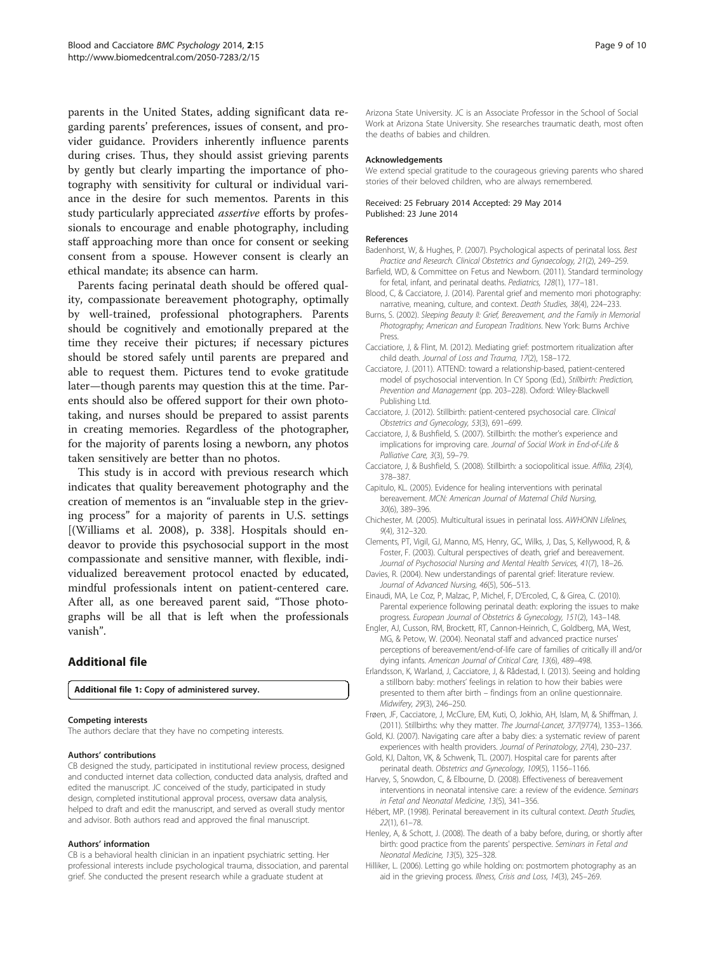<span id="page-8-0"></span>parents in the United States, adding significant data regarding parents' preferences, issues of consent, and provider guidance. Providers inherently influence parents during crises. Thus, they should assist grieving parents by gently but clearly imparting the importance of photography with sensitivity for cultural or individual variance in the desire for such mementos. Parents in this study particularly appreciated assertive efforts by professionals to encourage and enable photography, including staff approaching more than once for consent or seeking consent from a spouse. However consent is clearly an ethical mandate; its absence can harm.

Parents facing perinatal death should be offered quality, compassionate bereavement photography, optimally by well-trained, professional photographers. Parents should be cognitively and emotionally prepared at the time they receive their pictures; if necessary pictures should be stored safely until parents are prepared and able to request them. Pictures tend to evoke gratitude later—though parents may question this at the time. Parents should also be offered support for their own phototaking, and nurses should be prepared to assist parents in creating memories. Regardless of the photographer, for the majority of parents losing a newborn, any photos taken sensitively are better than no photos.

This study is in accord with previous research which indicates that quality bereavement photography and the creation of mementos is an "invaluable step in the grieving process" for a majority of parents in U.S. settings [(Williams et al. [2008\)](#page-9-0), p. 338]. Hospitals should endeavor to provide this psychosocial support in the most compassionate and sensitive manner, with flexible, individualized bereavement protocol enacted by educated, mindful professionals intent on patient-centered care. After all, as one bereaved parent said, "Those photographs will be all that is left when the professionals vanish".

## Additional file

[Additional file 1:](http://www.biomedcentral.com/content/supplementary/2050-7283-2-15-S1.pdf) Copy of administered survey.

#### Competing interests

The authors declare that they have no competing interests.

#### Authors' contributions

CB designed the study, participated in institutional review process, designed and conducted internet data collection, conducted data analysis, drafted and edited the manuscript. JC conceived of the study, participated in study design, completed institutional approval process, oversaw data analysis, helped to draft and edit the manuscript, and served as overall study mentor and advisor. Both authors read and approved the final manuscript.

#### Authors' information

CB is a behavioral health clinician in an inpatient psychiatric setting. Her professional interests include psychological trauma, dissociation, and parental grief. She conducted the present research while a graduate student at

Arizona State University. JC is an Associate Professor in the School of Social Work at Arizona State University. She researches traumatic death, most often the deaths of babies and children.

#### Acknowledgements

We extend special gratitude to the courageous grieving parents who shared stories of their beloved children, who are always remembered.

#### Received: 25 February 2014 Accepted: 29 May 2014 Published: 23 June 2014

#### References

- Badenhorst, W, & Hughes, P. (2007). Psychological aspects of perinatal loss. Best Practice and Research. Clinical Obstetrics and Gynaecology, 21(2), 249–259.
- Barfield, WD, & Committee on Fetus and Newborn. (2011). Standard terminology for fetal, infant, and perinatal deaths. Pediatrics, 128(1), 177–181.
- Blood, C, & Cacciatore, J. (2014). Parental grief and memento mori photography: narrative, meaning, culture, and context. Death Studies, 38(4), 224–233.
- Burns, S. (2002). Sleeping Beauty II: Grief, Bereavement, and the Family in Memorial Photography; American and European Traditions. New York: Burns Archive Press.
- Cacciatiore, J, & Flint, M. (2012). Mediating grief: postmortem ritualization after child death. Journal of Loss and Trauma, 17(2), 158–172.
- Cacciatore, J. (2011). ATTEND: toward a relationship-based, patient-centered model of psychosocial intervention. In CY Spong (Ed.), Stillbirth: Prediction, Prevention and Management (pp. 203–228). Oxford: Wiley-Blackwell Publishing Ltd.
- Cacciatore, J. (2012). Stillbirth: patient-centered psychosocial care. Clinical Obstetrics and Gynecology, 53(3), 691–699.
- Cacciatore, J, & Bushfield, S. (2007). Stillbirth: the mother's experience and implications for improving care. Journal of Social Work in End-of-Life & Palliative Care, 3(3), 59–79.
- Cacciatore, J, & Bushfield, S. (2008). Stillbirth: a sociopolitical issue. Affilia, 23(4), 378–387.
- Capitulo, KL. (2005). Evidence for healing interventions with perinatal bereavement. MCN: American Journal of Maternal Child Nursing, 30(6), 389–396.
- Chichester, M. (2005). Multicultural issues in perinatal loss. AWHONN Lifelines, 9(4), 312–320.
- Clements, PT, Vigil, GJ, Manno, MS, Henry, GC, Wilks, J, Das, S, Kellywood, R, & Foster, F. (2003). Cultural perspectives of death, grief and bereavement. Journal of Psychosocial Nursing and Mental Health Services, 41(7), 18–26.
- Davies, R. (2004). New understandings of parental grief: literature review. Journal of Advanced Nursing, 46(5), 506–513.
- Einaudi, MA, Le Coz, P, Malzac, P, Michel, F, D'Ercoled, C, & Girea, C. (2010). Parental experience following perinatal death: exploring the issues to make progress. European Journal of Obstetrics & Gynecology, 151(2), 143–148.
- Engler, AJ, Cusson, RM, Brockett, RT, Cannon-Heinrich, C, Goldberg, MA, West, MG, & Petow, W. (2004). Neonatal staff and advanced practice nurses' perceptions of bereavement/end-of-life care of families of critically ill and/or dying infants. American Journal of Critical Care, 13(6), 489–498.
- Erlandsson, K, Warland, J, Cacciatore, J, & Rådestad, I. (2013). Seeing and holding a stillborn baby: mothers' feelings in relation to how their babies were presented to them after birth – findings from an online questionnaire. Midwifery, 29(3), 246–250.
- Frøen, JF, Cacciatore, J, McClure, EM, Kuti, O, Jokhio, AH, Islam, M, & Shiffman, J. (2011). Stillbirths: why they matter. The Journal-Lancet, 377(9774), 1353–1366.
- Gold, KJ. (2007). Navigating care after a baby dies: a systematic review of parent experiences with health providers. Journal of Perinatology, 27(4), 230–237.
- Gold, KJ, Dalton, VK, & Schwenk, TL. (2007). Hospital care for parents after perinatal death. Obstetrics and Gynecology, 109(5), 1156–1166.
- Harvey, S, Snowdon, C, & Elbourne, D. (2008). Effectiveness of bereavement interventions in neonatal intensive care: a review of the evidence. Seminars in Fetal and Neonatal Medicine, 13(5), 341–356.
- Hébert, MP. (1998). Perinatal bereavement in its cultural context. Death Studies, 22(1), 61–78.
- Henley, A, & Schott, J. (2008). The death of a baby before, during, or shortly after birth: good practice from the parents' perspective. Seminars in Fetal and Neonatal Medicine, 13(5), 325–328.
- Hilliker, L. (2006). Letting go while holding on: postmortem photography as an aid in the grieving process. Illness, Crisis and Loss, 14(3), 245–269.